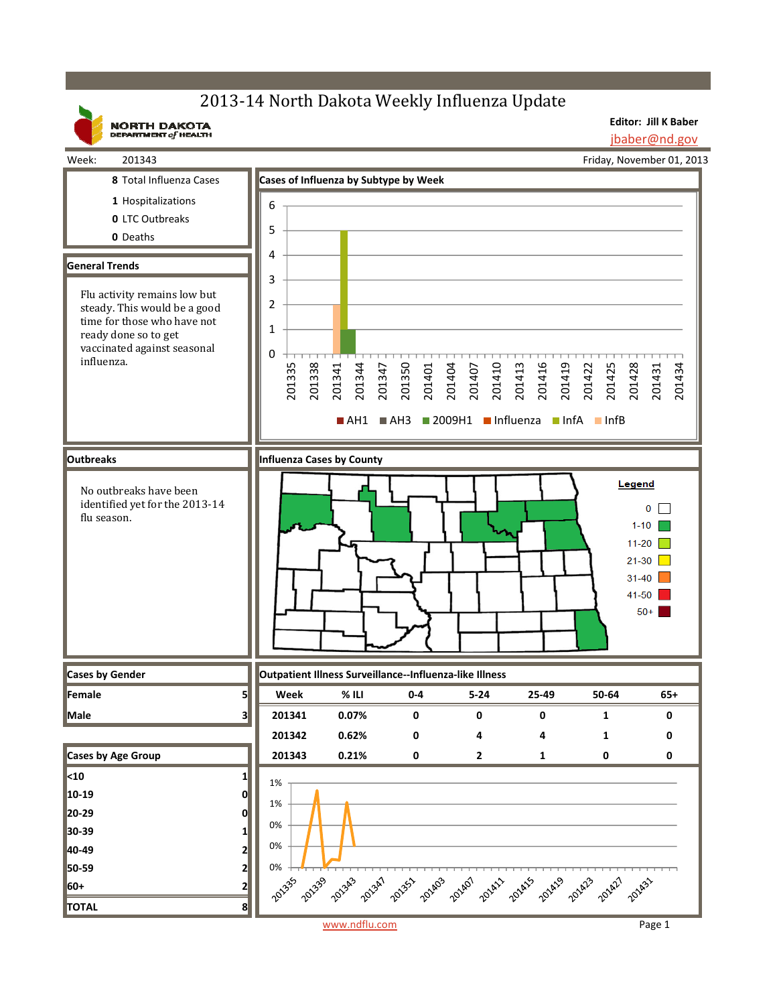## 2013-14 North Dakota Weekly Influenza Update

**NORTH DAKOTA**<br>DEPARTMENT of HEALTH

**Editor: Jill K Baber** jbaber@nd.gov